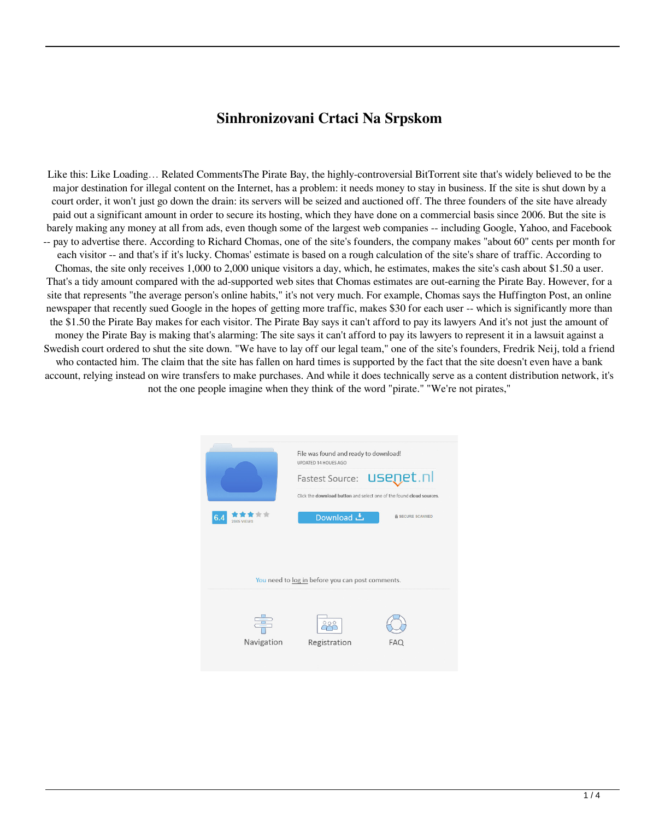## **Sinhronizovani Crtaci Na Srpskom**

Like this: Like Loading… Related CommentsThe Pirate Bay, the highly-controversial BitTorrent site that's widely believed to be the major destination for illegal content on the Internet, has a problem: it needs money to stay in business. If the site is shut down by a court order, it won't just go down the drain: its servers will be seized and auctioned off. The three founders of the site have already paid out a significant amount in order to secure its hosting, which they have done on a commercial basis since 2006. But the site is barely making any money at all from ads, even though some of the largest web companies -- including Google, Yahoo, and Facebook -- pay to advertise there. According to Richard Chomas, one of the site's founders, the company makes "about 60" cents per month for each visitor -- and that's if it's lucky. Chomas' estimate is based on a rough calculation of the site's share of traffic. According to Chomas, the site only receives 1,000 to 2,000 unique visitors a day, which, he estimates, makes the site's cash about \$1.50 a user. That's a tidy amount compared with the ad-supported web sites that Chomas estimates are out-earning the Pirate Bay. However, for a site that represents "the average person's online habits," it's not very much. For example, Chomas says the Huffington Post, an online newspaper that recently sued Google in the hopes of getting more traffic, makes \$30 for each user -- which is significantly more than the \$1.50 the Pirate Bay makes for each visitor. The Pirate Bay says it can't afford to pay its lawyers And it's not just the amount of money the Pirate Bay is making that's alarming: The site says it can't afford to pay its lawyers to represent it in a lawsuit against a Swedish court ordered to shut the site down. "We have to lay off our legal team," one of the site's founders, Fredrik Neij, told a friend who contacted him. The claim that the site has fallen on hard times is supported by the fact that the site doesn't even have a bank account, relying instead on wire transfers to make purchases. And while it does technically serve as a content distribution network, it's not the one people imagine when they think of the word "pirate." "We're not pirates,"

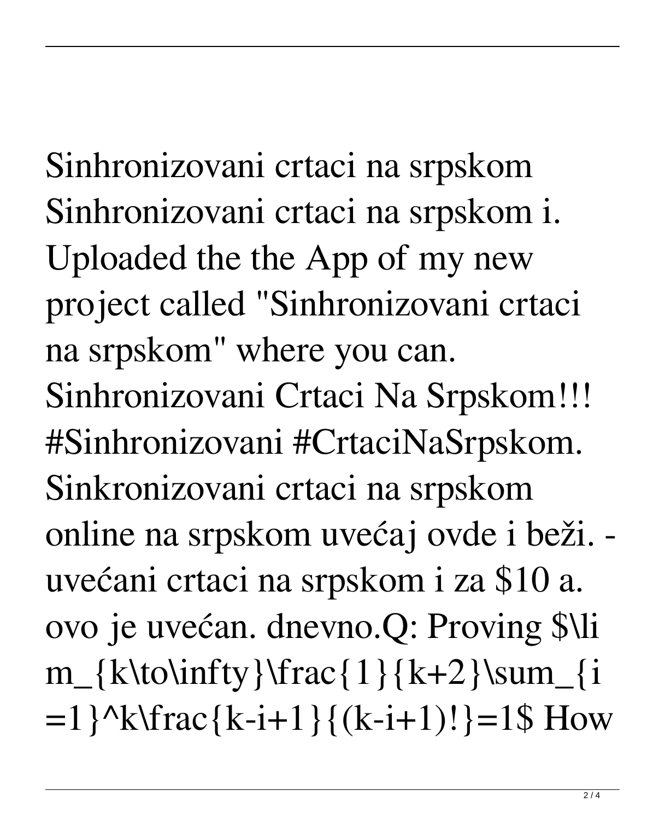Sinhronizovani crtaci na srpskom Sinhronizovani crtaci na srpskom i.

Uploaded the the App of my new project called "Sinhronizovani crtaci na srpskom" where you can.

Sinhronizovani Crtaci Na Srpskom!!! #Sinhronizovani #CrtaciNaSrpskom. Sinkronizovani crtaci na srpskom online na srpskom uvećaj ovde i beži. uvećani crtaci na srpskom i za \$10 a. ovo je uvećan. dnevno.Q: Proving \$\li  $m_{k\to\infty}\frac{1}{k+2}\sum_{i=1}^{k+2}$  $=1$  } ^k\frac { k-i+1 } { (k-i+1)! } =1\$ How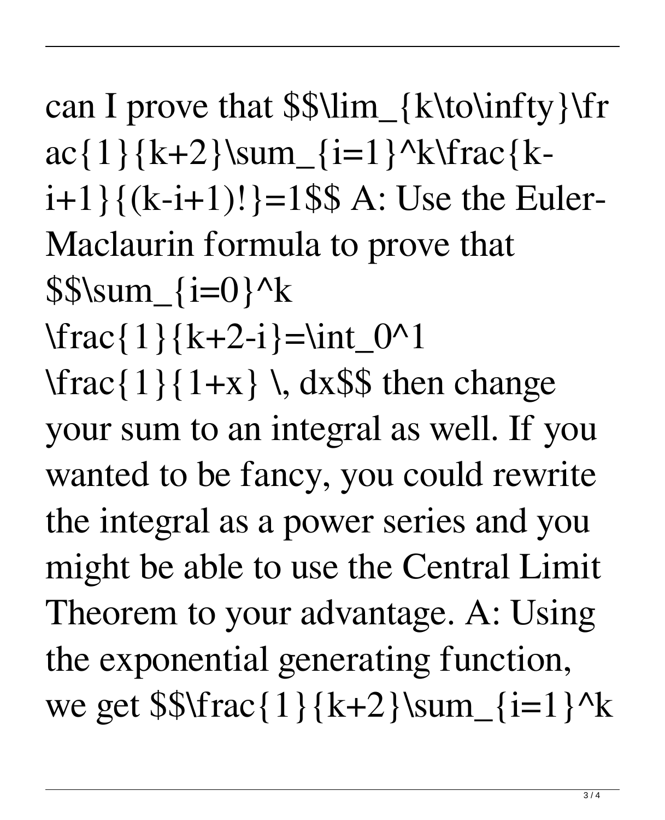can I prove that \$\$\lim\_{k\to\infty}\fr  $ac\{1\}\{k+2\}$ \sum  $\{i=1\}^k\frac{k}{a}c\}$  $i+1$ } $\{(k-i+1)!$ }=1\$\$ A: Use the Euler-Maclaurin formula to prove that  $$$ S\sum\_{i=0}^k  $\frac{1}{k+2-i}=\int_0^{\infty} 1$  $\frac{1}{1+ x} \, \, \mathrm{d}x$  (dx\$\$ then change your sum to an integral as well. If you wanted to be fancy, you could rewrite the integral as a power series and you might be able to use the Central Limit Theorem to your advantage. A: Using the exponential generating function, we get  $\frac{1}{k+2}\sum_{i=1}^k$